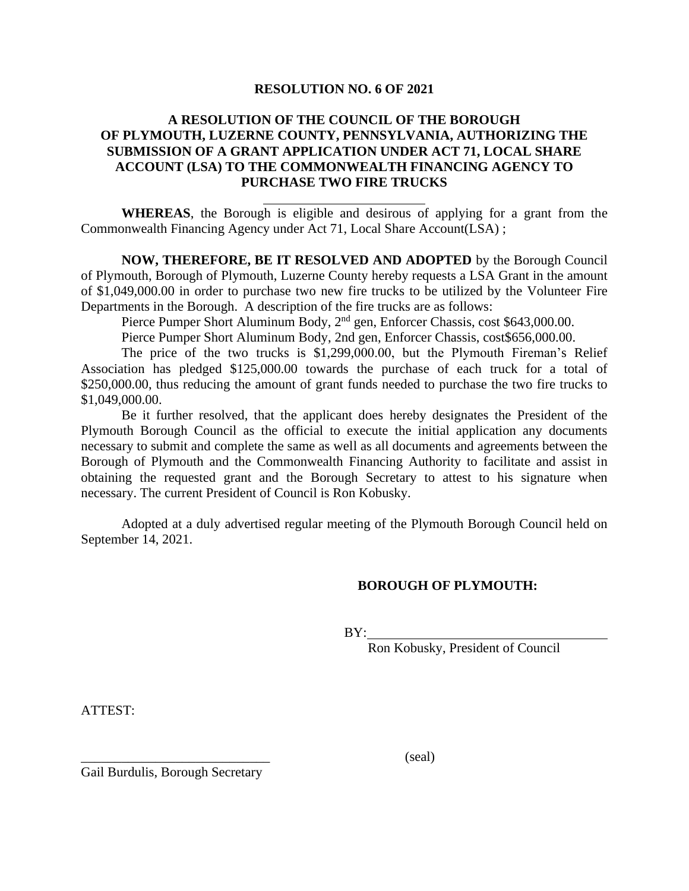## **RESOLUTION NO. 6 OF 2021**

## **A RESOLUTION OF THE COUNCIL OF THE BOROUGH OF PLYMOUTH, LUZERNE COUNTY, PENNSYLVANIA, AUTHORIZING THE SUBMISSION OF A GRANT APPLICATION UNDER ACT 71, LOCAL SHARE ACCOUNT (LSA) TO THE COMMONWEALTH FINANCING AGENCY TO PURCHASE TWO FIRE TRUCKS**

**WHEREAS**, the Borough is eligible and desirous of applying for a grant from the Commonwealth Financing Agency under Act 71, Local Share Account(LSA) ;

**NOW, THEREFORE, BE IT RESOLVED AND ADOPTED** by the Borough Council of Plymouth, Borough of Plymouth, Luzerne County hereby requests a LSA Grant in the amount of \$1,049,000.00 in order to purchase two new fire trucks to be utilized by the Volunteer Fire Departments in the Borough. A description of the fire trucks are as follows:

Pierce Pumper Short Aluminum Body, 2<sup>nd</sup> gen, Enforcer Chassis, cost \$643,000.00.

Pierce Pumper Short Aluminum Body, 2nd gen, Enforcer Chassis, cost\$656,000.00.

The price of the two trucks is \$1,299,000.00, but the Plymouth Fireman's Relief Association has pledged \$125,000.00 towards the purchase of each truck for a total of \$250,000.00, thus reducing the amount of grant funds needed to purchase the two fire trucks to \$1,049,000.00.

Be it further resolved, that the applicant does hereby designates the President of the Plymouth Borough Council as the official to execute the initial application any documents necessary to submit and complete the same as well as all documents and agreements between the Borough of Plymouth and the Commonwealth Financing Authority to facilitate and assist in obtaining the requested grant and the Borough Secretary to attest to his signature when necessary. The current President of Council is Ron Kobusky.

Adopted at a duly advertised regular meeting of the Plymouth Borough Council held on September 14, 2021.

## **BOROUGH OF PLYMOUTH:**

BY:

Ron Kobusky, President of Council

ATTEST:

Gail Burdulis, Borough Secretary

 $\qquad \qquad \text{(seal)}$